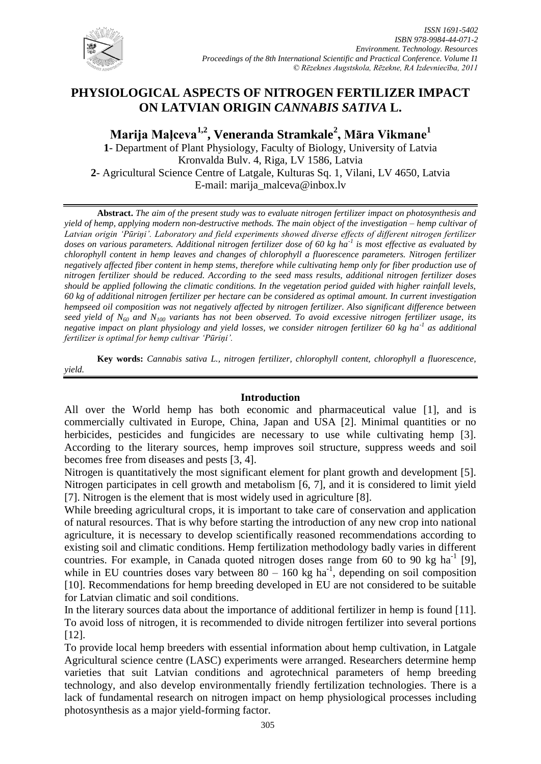

# **PHYSIOLOGICAL ASPECTS OF NITROGEN FERTILIZER IMPACT ON LATVIAN ORIGIN** *CANNABIS SATIVA* **L.**

**Marija Maļceva1,2, Veneranda Stramkale<sup>2</sup> , Māra Vikmane<sup>1</sup> 1**- Department of Plant Physiology, Faculty of Biology, University of Latvia Kronvalda Bulv. 4, Riga, LV 1586, Latvia **2**- Agricultural Science Centre of Latgale, Kulturas Sq. 1, Vilani, LV 4650, Latvia E-mail: marija\_malceva@inbox.lv

**Abstract.** *The aim of the present study was to evaluate nitrogen fertilizer impact on photosynthesis and yield of hemp, applying modern non-destructive methods. The main object of the investigation – hemp cultivar of Latvian origin 'Pūriņi'. Laboratory and field experiments showed diverse effects of different nitrogen fertilizer doses on various parameters. Additional nitrogen fertilizer dose of 60 kg ha-1 is most effective as evaluated by chlorophyll content in hemp leaves and changes of chlorophyll a fluorescence parameters. Nitrogen fertilizer negatively affected fiber content in hemp stems, therefore while cultivating hemp only for fiber production use of nitrogen fertilizer should be reduced. According to the seed mass results, additional nitrogen fertilizer doses should be applied following the climatic conditions. In the vegetation period guided with higher rainfall levels, 60 kg of additional nitrogen fertilizer per hectare can be considered as optimal amount. In current investigation hempseed oil composition was not negatively affected by nitrogen fertilizer. Also significant difference between seed yield of N<sup>60</sup> and N<sup>100</sup> variants has not been observed. To avoid excessive nitrogen fertilizer usage, its negative impact on plant physiology and yield losses, we consider nitrogen fertilizer 60 kg ha-1 as additional fertilizer is optimal for hemp cultivar 'Pūriņi'.*

**Key words:** *Cannabis sativa L., nitrogen fertilizer, chlorophyll content, chlorophyll a fluorescence, yield.*

#### **Introduction**

All over the World hemp has both economic and pharmaceutical value [1], and is commercially cultivated in Europe, China, Japan and USA [2]. Minimal quantities or no herbicides, pesticides and fungicides are necessary to use while cultivating hemp [3]. According to the literary sources, hemp improves soil structure, suppress weeds and soil becomes free from diseases and pests [3, 4].

Nitrogen is quantitatively the most significant element for plant growth and development [5]. Nitrogen participates in cell growth and metabolism [6, 7], and it is considered to limit yield [7]. Nitrogen is the element that is most widely used in agriculture [8].

While breeding agricultural crops, it is important to take care of conservation and application of natural resources. That is why before starting the introduction of any new crop into national agriculture, it is necessary to develop scientifically reasoned recommendations according to existing soil and climatic conditions. Hemp fertilization methodology badly varies in different countries. For example, in Canada quoted nitrogen doses range from  $60$  to 90 kg ha<sup>-1</sup> [9], while in EU countries doses vary between  $80 - 160$  kg ha<sup>-1</sup>, depending on soil composition [10]. Recommendations for hemp breeding developed in EU are not considered to be suitable for Latvian climatic and soil conditions.

In the literary sources data about the importance of additional fertilizer in hemp is found [11]. To avoid loss of nitrogen, it is recommended to divide nitrogen fertilizer into several portions [12].

To provide local hemp breeders with essential information about hemp cultivation, in Latgale Agricultural science centre (LASC) experiments were arranged. Researchers determine hemp varieties that suit Latvian conditions and agrotechnical parameters of hemp breeding technology, and also develop environmentally friendly fertilization technologies. There is a lack of fundamental research on nitrogen impact on hemp physiological processes including photosynthesis as a major yield-forming factor.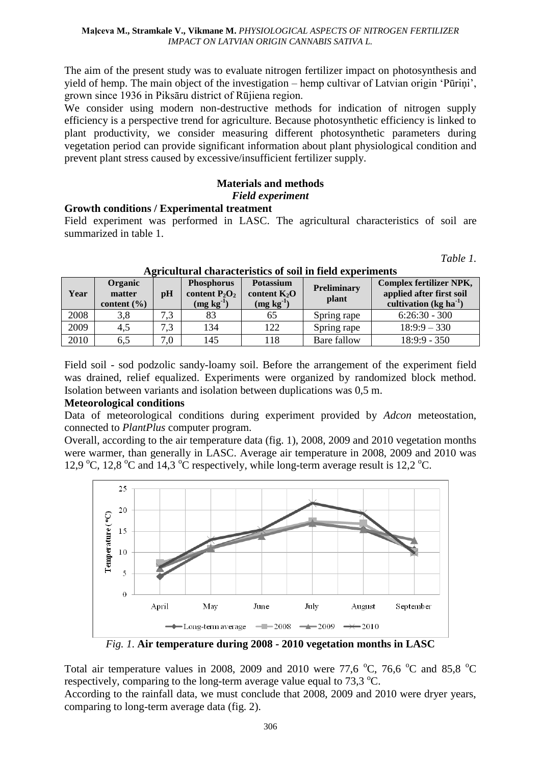The aim of the present study was to evaluate nitrogen fertilizer impact on photosynthesis and yield of hemp. The main object of the investigation – hemp cultivar of Latvian origin "Pūriņi", grown since 1936 in Piksāru district of Rūjiena region.

We consider using modern non-destructive methods for indication of nitrogen supply efficiency is a perspective trend for agriculture. Because photosynthetic efficiency is linked to plant productivity, we consider measuring different photosynthetic parameters during vegetation period can provide significant information about plant physiological condition and prevent plant stress caused by excessive/insufficient fertilizer supply.

# **Materials and methods** *Field experiment*

### **Growth conditions / Experimental treatment**

Field experiment was performed in LASC. The agricultural characteristics of soil are summarized in table 1.

*Table 1.*

| Year | <b>Organic</b><br>matter<br>content $(\% )$ | $\mathbf{p}$ H | <b>Phosphorus</b><br>content $P_2O_2$<br>$(mg kg-1)$ | <b>Potassium</b><br>content $K_2O$<br>$(mg kg-1)$ | Preliminary<br>plant | <b>Complex fertilizer NPK,</b><br>applied after first soil<br>cultivation (kg ha $^{-1}$ ) |
|------|---------------------------------------------|----------------|------------------------------------------------------|---------------------------------------------------|----------------------|--------------------------------------------------------------------------------------------|
| 2008 | 3,8                                         | 73             | 83                                                   | 65                                                | Spring rape          | $6:26:30 - 300$                                                                            |
| 2009 | 4.5                                         | 73             | 134                                                  | 122                                               | Spring rape          | $18:9:9-330$                                                                               |
| 2010 | 6.5                                         | 7.0            | 145                                                  | l 18                                              | Bare fallow          | $18:9:9 - 350$                                                                             |

### **Agricultural characteristics of soil in field experiments**

Field soil - sod podzolic sandy-loamy soil. Before the arrangement of the experiment field was drained, relief equalized. Experiments were organized by randomized block method. Isolation between variants and isolation between duplications was 0,5 m.

## **Meteorological conditions**

Data of meteorological conditions during experiment provided by *Adcon* meteostation, connected to *PlantPlus* computer program.

Overall, according to the air temperature data (fig. 1), 2008, 2009 and 2010 vegetation months were warmer, than generally in LASC. Average air temperature in 2008, 2009 and 2010 was 12,9 °C, 12,8 °C and 14,3 °C respectively, while long-term average result is 12,2 °C.



*Fig. 1*. **Air temperature during 2008 - 2010 vegetation months in LASC**

Total air temperature values in 2008, 2009 and 2010 were 77,6  $^{\circ}$ C, 76,6  $^{\circ}$ C and 85,8  $^{\circ}$ C respectively, comparing to the long-term average value equal to  $73.3 \text{ °C}$ .

According to the rainfall data, we must conclude that 2008, 2009 and 2010 were dryer years, comparing to long-term average data (fig. 2).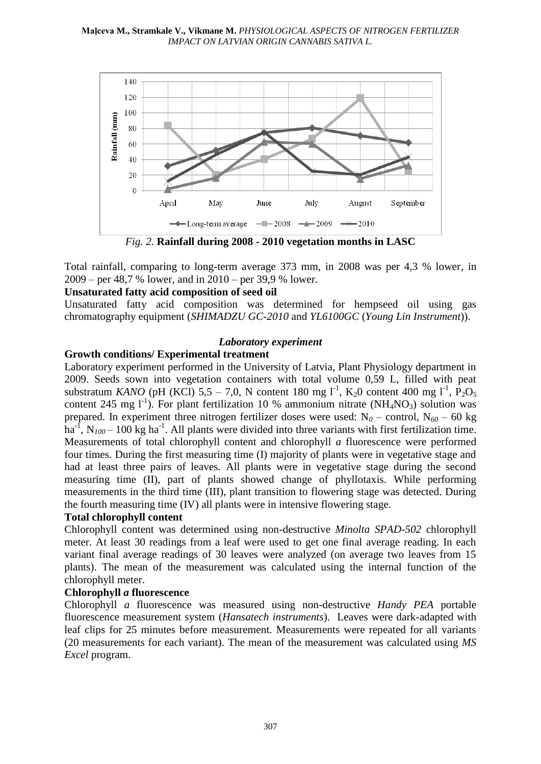

*Fig. 2.* **Rainfall during 2008 - 2010 vegetation months in LASC**

Total rainfall, comparing to long-term average 373 mm, in 2008 was per 4,3 % lower, in 2009 – per 48,7 % lower, and in 2010 – per 39,9 % lower.

## **Unsaturated fatty acid composition of seed oil**

Unsaturated fatty acid composition was determined for hempseed oil using gas chromatography equipment (*SHIMADZU GC-2010* and *YL6100GC* (*Young Lin Instrument*)).

#### *Laboratory experiment*

#### **Growth conditions/ Experimental treatment**

Laboratory experiment performed in the University of Latvia, Plant Physiology department in 2009. Seeds sown into vegetation containers with total volume 0,59 L, filled with peat substratum *KANO* (pH (KCl) 5,5 – 7,0, N content 180 mg l<sup>-1</sup>, K<sub>2</sub>0 content 400 mg l<sup>-1</sup>, P<sub>2</sub>O<sub>5</sub> content 245 mg  $1^{-1}$ ). For plant fertilization 10 % ammonium nitrate (NH<sub>4</sub>NO<sub>3</sub>) solution was prepared. In experiment three nitrogen fertilizer doses were used:  $N_0$  – control,  $N_{60}$  – 60 kg  $\hat{h}$ a<sup>-1</sup>, N<sub>100</sub> – 100 kg ha<sup>-1</sup>. All plants were divided into three variants with first fertilization time. Measurements of total chlorophyll content and chlorophyll *a* fluorescence were performed four times. During the first measuring time (I) majority of plants were in vegetative stage and had at least three pairs of leaves. All plants were in vegetative stage during the second measuring time (II), part of plants showed change of phyllotaxis. While performing measurements in the third time (III), plant transition to flowering stage was detected. During the fourth measuring time (IV) all plants were in intensive flowering stage.

#### **Total chlorophyll content**

Chlorophyll content was determined using non-destructive *Minolta SPAD-502* chlorophyll meter. At least 30 readings from a leaf were used to get one final average reading. In each variant final average readings of 30 leaves were analyzed (on average two leaves from 15 plants). The mean of the measurement was calculated using the internal function of the chlorophyll meter.

#### **Chlorophyll** *a* **fluorescence**

Chlorophyll *a* fluorescence was measured using non-destructive *Handy PEA* portable fluorescence measurement system (*Hansatech instruments*). Leaves were dark-adapted with leaf clips for 25 minutes before measurement. Measurements were repeated for all variants (20 measurements for each variant). The mean of the measurement was calculated using *MS Excel* program.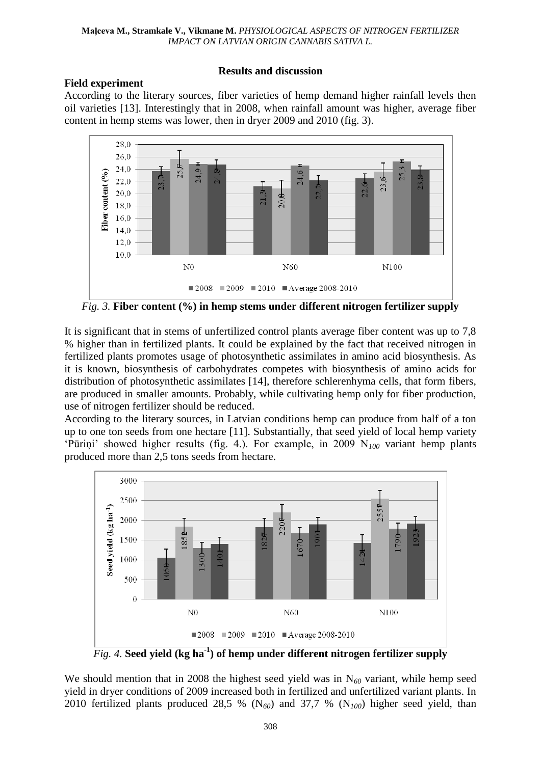## **Field experiment**

### **Results and discussion**

According to the literary sources, fiber varieties of hemp demand higher rainfall levels then oil varieties [13]. Interestingly that in 2008, when rainfall amount was higher, average fiber content in hemp stems was lower, then in dryer 2009 and 2010 (fig. 3).



*Fig.* 3. Fiber content (%) in hemp stems under different nitrogen fertilizer supply

It is significant that in stems of unfertilized control plants average fiber content was up to 7,8 % higher than in fertilized plants. It could be explained by the fact that received nitrogen in fertilized plants promotes usage of photosynthetic assimilates in amino acid biosynthesis. As it is known, biosynthesis of carbohydrates competes with biosynthesis of amino acids for distribution of photosynthetic assimilates [14], therefore schlerenhyma cells, that form fibers, are produced in smaller amounts. Probably, while cultivating hemp only for fiber production, use of nitrogen fertilizer should be reduced.

According to the literary sources, in Latvian conditions hemp can produce from half of a ton up to one ton seeds from one hectare [11]. Substantially, that seed yield of local hemp variety "Pūriņi" showed higher results (fig. 4.). For example, in 2009 N*<sup>100</sup>* variant hemp plants produced more than 2,5 tons seeds from hectare.



*Fig. 4.* **Seed yield (kg ha-1 ) of hemp under different nitrogen fertilizer supply**

We should mention that in 2008 the highest seed yield was in N<sub>60</sub> variant, while hemp seed yield in dryer conditions of 2009 increased both in fertilized and unfertilized variant plants. In 2010 fertilized plants produced 28,5 % (N*60*) and 37,7 % (N*100*) higher seed yield, than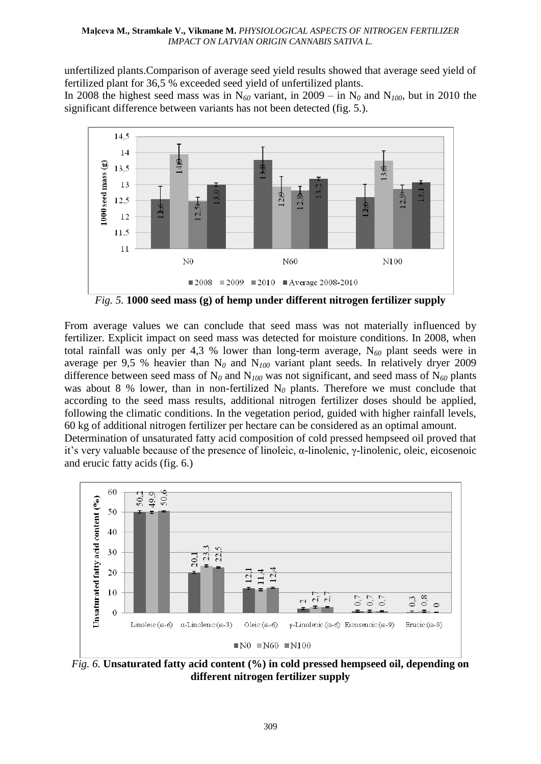unfertilized plants.Comparison of average seed yield results showed that average seed yield of fertilized plant for 36,5 % exceeded seed yield of unfertilized plants.

In 2008 the highest seed mass was in  $N_{60}$  variant, in 2009 – in  $N_0$  and  $N_{100}$ , but in 2010 the significant difference between variants has not been detected (fig. 5.).



*Fig. 5.* **1000 seed mass (g) of hemp under different nitrogen fertilizer supply**

From average values we can conclude that seed mass was not materially influenced by fertilizer. Explicit impact on seed mass was detected for moisture conditions. In 2008, when total rainfall was only per 4,3 % lower than long-term average, N*<sup>60</sup>* plant seeds were in average per 9,5 % heavier than  $N_0$  and  $N_{100}$  variant plant seeds. In relatively dryer 2009 difference between seed mass of N*<sup>0</sup>* and N*<sup>100</sup>* was not significant, and seed mass of N*<sup>60</sup>* plants was about 8 % lower, than in non-fertilized  $N_0$  plants. Therefore we must conclude that according to the seed mass results, additional nitrogen fertilizer doses should be applied, following the climatic conditions. In the vegetation period, guided with higher rainfall levels, 60 kg of additional nitrogen fertilizer per hectare can be considered as an optimal amount. Determination of unsaturated fatty acid composition of cold pressed hempseed oil proved that it"s very valuable because of the presence of linoleic, α-linolenic, γ-linolenic, oleic, eicosenoic and erucic fatty acids (fig. 6.)



*Fig. 6.* **Unsaturated fatty acid content (%) in cold pressed hempseed oil, depending on different nitrogen fertilizer supply**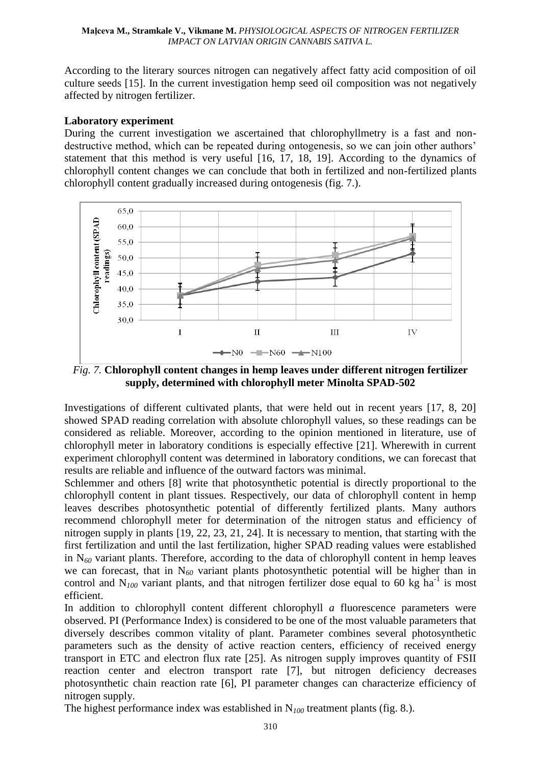According to the literary sources nitrogen can negatively affect fatty acid composition of oil culture seeds [15]. In the current investigation hemp seed oil composition was not negatively affected by nitrogen fertilizer.

### **Laboratory experiment**

During the current investigation we ascertained that chlorophyllmetry is a fast and nondestructive method, which can be repeated during ontogenesis, so we can join other authors' statement that this method is very useful [16, 17, 18, 19]. According to the dynamics of chlorophyll content changes we can conclude that both in fertilized and non-fertilized plants chlorophyll content gradually increased during ontogenesis (fig. 7.).



*Fig. 7.* **Chlorophyll content changes in hemp leaves under different nitrogen fertilizer supply, determined with chlorophyll meter Minolta SPAD-502**

Investigations of different cultivated plants, that were held out in recent years [17, 8, 20] showed SPAD reading correlation with absolute chlorophyll values, so these readings can be considered as reliable. Moreover, according to the opinion mentioned in literature, use of chlorophyll meter in laboratory conditions is especially effective [21]. Wherewith in current experiment chlorophyll content was determined in laboratory conditions, we can forecast that results are reliable and influence of the outward factors was minimal.

Schlemmer and others [8] write that photosynthetic potential is directly proportional to the chlorophyll content in plant tissues. Respectively, our data of chlorophyll content in hemp leaves describes photosynthetic potential of differently fertilized plants. Many authors recommend chlorophyll meter for determination of the nitrogen status and efficiency of nitrogen supply in plants [19, 22, 23, 21, 24]. It is necessary to mention, that starting with the first fertilization and until the last fertilization, higher SPAD reading values were established in N*<sup>60</sup>* variant plants. Therefore, according to the data of chlorophyll content in hemp leaves we can forecast, that in N*<sup>60</sup>* variant plants photosynthetic potential will be higher than in control and  $N_{100}$  variant plants, and that nitrogen fertilizer dose equal to 60 kg ha<sup>-1</sup> is most efficient.

In addition to chlorophyll content different chlorophyll *a* fluorescence parameters were observed. PI (Performance Index) is considered to be one of the most valuable parameters that diversely describes common vitality of plant. Parameter combines several photosynthetic parameters such as the density of active reaction centers, efficiency of received energy transport in ETC and electron flux rate [25]. As nitrogen supply improves quantity of FSII reaction center and electron transport rate [7], but nitrogen deficiency decreases photosynthetic chain reaction rate [6], PI parameter changes can characterize efficiency of nitrogen supply.

The highest performance index was established in N*<sup>100</sup>* treatment plants (fig. 8.).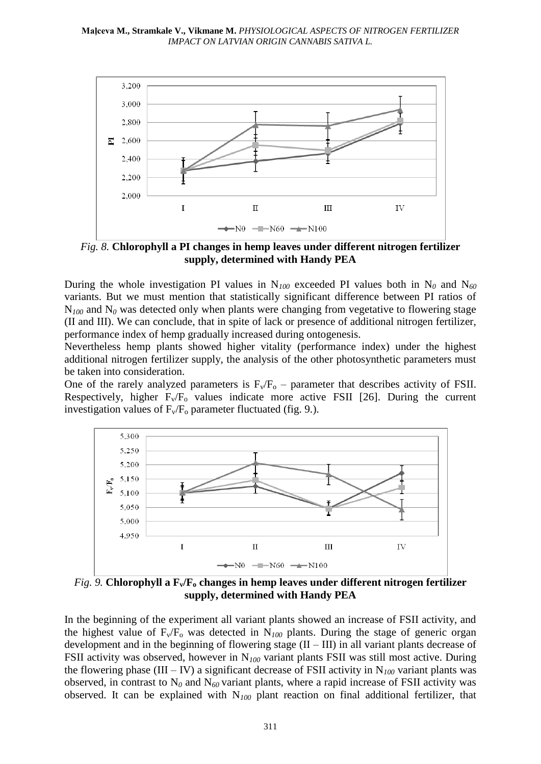

*Fig. 8.* **Chlorophyll a PI changes in hemp leaves under different nitrogen fertilizer supply, determined with Handy PEA**

During the whole investigation PI values in  $N_{100}$  exceeded PI values both in  $N_0$  and  $N_{60}$ variants. But we must mention that statistically significant difference between PI ratios of  $N_{100}$  and  $N_0$  was detected only when plants were changing from vegetative to flowering stage (II and III). We can conclude, that in spite of lack or presence of additional nitrogen fertilizer, performance index of hemp gradually increased during ontogenesis.

Nevertheless hemp plants showed higher vitality (performance index) under the highest additional nitrogen fertilizer supply, the analysis of the other photosynthetic parameters must be taken into consideration.

One of the rarely analyzed parameters is  $F_v/F_o$  – parameter that describes activity of FSII. Respectively, higher  $F_v/F_o$  values indicate more active FSII [26]. During the current investigation values of  $F_v/F_o$  parameter fluctuated (fig. 9.).



*Fig. 9.* **Chlorophyll a Fv/F<sup>o</sup> changes in hemp leaves under different nitrogen fertilizer supply, determined with Handy PEA**

In the beginning of the experiment all variant plants showed an increase of FSII activity, and the highest value of  $F_v/F_o$  was detected in  $N_{100}$  plants. During the stage of generic organ development and in the beginning of flowering stage  $(II - III)$  in all variant plants decrease of FSII activity was observed, however in N*<sup>100</sup>* variant plants FSII was still most active. During the flowering phase (III – IV) a significant decrease of FSII activity in  $N_{100}$  variant plants was observed, in contrast to  $N_0$  and  $N_{60}$  variant plants, where a rapid increase of FSII activity was observed. It can be explained with N*<sup>100</sup>* plant reaction on final additional fertilizer, that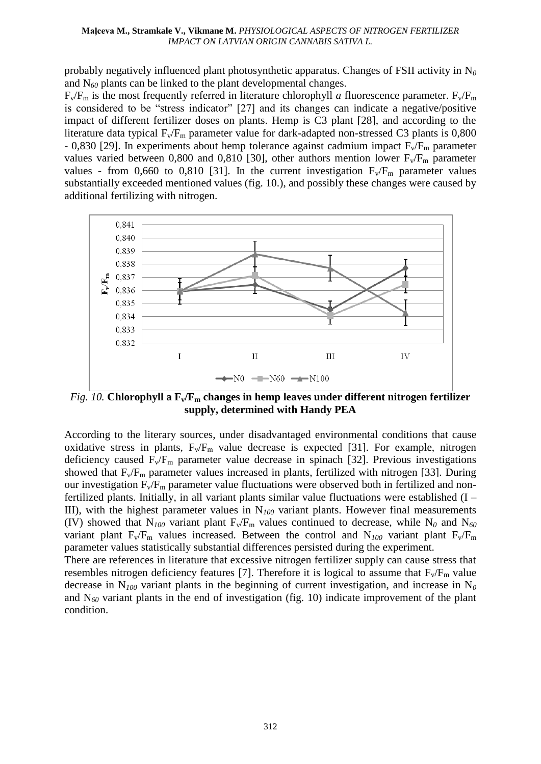#### **Maļceva M., Stramkale V., Vikmane M.** *PHYSIOLOGICAL ASPECTS OF NITROGEN FERTILIZER IMPACT ON LATVIAN ORIGIN CANNABIS SATIVA L.*

probably negatively influenced plant photosynthetic apparatus. Changes of FSII activity in N*<sup>0</sup>* and N*<sup>60</sup>* plants can be linked to the plant developmental changes.

 $F_v/F_m$  is the most frequently referred in literature chlorophyll *a* fluorescence parameter.  $F_v/F_m$ is considered to be "stress indicator" [27] and its changes can indicate a negative/positive impact of different fertilizer doses on plants. Hemp is C3 plant [28], and according to the literature data typical  $F_v/F_m$  parameter value for dark-adapted non-stressed C3 plants is 0,800 - 0,830 [29]. In experiments about hemp tolerance against cadmium impact  $F_v/F_m$  parameter values varied between 0,800 and 0,810 [30], other authors mention lower  $F_v/F_m$  parameter values - from 0,660 to 0,810 [31]. In the current investigation  $F_v/F_m$  parameter values substantially exceeded mentioned values (fig. 10.), and possibly these changes were caused by additional fertilizing with nitrogen.



*Fig. 10.* **Chlorophyll a Fv/F<sup>m</sup> changes in hemp leaves under different nitrogen fertilizer supply, determined with Handy PEA**

According to the literary sources, under disadvantaged environmental conditions that cause oxidative stress in plants,  $F_v/F_m$  value decrease is expected [31]. For example, nitrogen deficiency caused  $F_v/F_m$  parameter value decrease in spinach [32]. Previous investigations showed that  $F_v/F_m$  parameter values increased in plants, fertilized with nitrogen [33]. During our investigation  $F_v/F_m$  parameter value fluctuations were observed both in fertilized and nonfertilized plants. Initially, in all variant plants similar value fluctuations were established (I – III), with the highest parameter values in N*<sup>100</sup>* variant plants. However final measurements (IV) showed that  $N_{100}$  variant plant  $F_v/F_m$  values continued to decrease, while  $N_0$  and  $N_{60}$ variant plant  $F_v/F_m$  values increased. Between the control and  $N_{100}$  variant plant  $F_v/F_m$ parameter values statistically substantial differences persisted during the experiment.

There are references in literature that excessive nitrogen fertilizer supply can cause stress that resembles nitrogen deficiency features [7]. Therefore it is logical to assume that  $F_v/F_m$  value decrease in N*<sup>100</sup>* variant plants in the beginning of current investigation, and increase in N*<sup>0</sup>* and N*<sup>60</sup>* variant plants in the end of investigation (fig. 10) indicate improvement of the plant condition.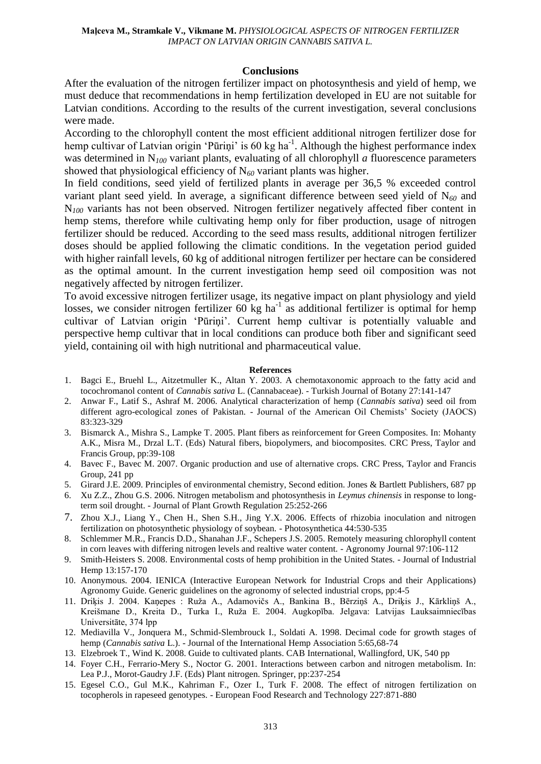#### **Conclusions**

After the evaluation of the nitrogen fertilizer impact on photosynthesis and yield of hemp, we must deduce that recommendations in hemp fertilization developed in EU are not suitable for Latvian conditions. According to the results of the current investigation, several conclusions were made.

According to the chlorophyll content the most efficient additional nitrogen fertilizer dose for hemp cultivar of Latvian origin 'Pūriņi' is 60 kg ha<sup>-1</sup>. Although the highest performance index was determined in N*<sup>100</sup>* variant plants, evaluating of all chlorophyll *a* fluorescence parameters showed that physiological efficiency of N*<sup>60</sup>* variant plants was higher.

In field conditions, seed yield of fertilized plants in average per 36,5 % exceeded control variant plant seed yield. In average, a significant difference between seed yield of N*<sup>60</sup>* and N<sub>100</sub> variants has not been observed. Nitrogen fertilizer negatively affected fiber content in hemp stems, therefore while cultivating hemp only for fiber production, usage of nitrogen fertilizer should be reduced. According to the seed mass results, additional nitrogen fertilizer doses should be applied following the climatic conditions. In the vegetation period guided with higher rainfall levels, 60 kg of additional nitrogen fertilizer per hectare can be considered as the optimal amount. In the current investigation hemp seed oil composition was not negatively affected by nitrogen fertilizer.

To avoid excessive nitrogen fertilizer usage, its negative impact on plant physiology and yield losses, we consider nitrogen fertilizer  $60 \text{ kg}$  ha<sup>-1</sup> as additional fertilizer is optimal for hemp cultivar of Latvian origin "Pūriņi". Current hemp cultivar is potentially valuable and perspective hemp cultivar that in local conditions can produce both fiber and significant seed yield, containing oil with high nutritional and pharmaceutical value.

#### **References**

- 1. Bagci E., Bruehl L., Aitzetmuller K., Altan Y. 2003. A chemotaxonomic approach to the fatty acid and tocochromanol content of *Cannabis sativa* L. (Cannabaceae). - Turkish Journal of Botany 27:141-147
- 2. Anwar F., Latif S., Ashraf M. 2006. Analytical characterization of hemp (*Cannabis sativa*) seed oil from different agro-ecological zones of Pakistan. - Journal of the American Oil Chemists' Society (JAOCS) 83:323-329
- 3. Bismarck A., Mishra S., Lampke T. 2005. Plant fibers as reinforcement for Green Composites. In: Mohanty A.K., Misra M., Drzal L.T. (Eds) Natural fibers, biopolymers, and biocomposites. CRC Press, Taylor and Francis Group, pp:39-108
- 4. Bavec F., Bavec M. 2007. Organic production and use of alternative crops. CRC Press, Taylor and Francis Group, 241 pp
- 5. Girard J.E. 2009. Principles of environmental chemistry, Second edition. Jones & Bartlett Publishers, 687 pp
- 6. Xu Z.Z., Zhou G.S. 2006. Nitrogen metabolism and photosynthesis in *Leymus chinensis* in response to longterm soil drought. - Journal of Plant Growth Regulation 25:252-266
- 7. Zhou X.J., Liang Y., Chen H., Shen S.H., Jing Y.X. 2006. Effects of rhizobia inoculation and nitrogen fertilization on photosynthetic physiology of soybean. - Photosynthetica 44:530-535
- 8. Schlemmer M.R., Francis D.D., Shanahan J.F., Schepers J.S. 2005. Remotely measuring chlorophyll content in corn leaves with differing nitrogen levels and realtive water content. - Agronomy Journal 97:106-112
- 9. Smith-Heisters S. 2008. Environmental costs of hemp prohibition in the United States. Journal of Industrial Hemp 13:157-170
- 10. Anonymous. 2004. IENICA (Interactive European Network for Industrial Crops and their Applications) Agronomy Guide. Generic guidelines on the agronomy of selected industrial crops, pp:4-5
- 11. Driķis J. 2004. Kaņepes : Ruža A., Adamovičs A., Bankina B., Bērziņš A., Driķis J., Kārkliņš A., Kreišmane D., Kreita D., Turka I., Ruža E. 2004. Augkopība. Jelgava: Latvijas Lauksaimniecības Universitāte, 374 lpp
- 12. Mediavilla V., Jonquera M., Schmid-Slembrouck I., Soldati A. 1998. Decimal code for growth stages of hemp (*Cannabis sativa* L.). - Journal of the International Hemp Association 5:65,68-74
- 13. Elzebroek T., Wind K. 2008. Guide to cultivated plants. CAB International, Wallingford, UK, 540 pp
- 14. Foyer C.H., Ferrario-Mery S., Noctor G. 2001. Interactions between carbon and nitrogen metabolism. In: Lea P.J., Morot-Gaudry J.F. (Eds) Plant nitrogen. Springer, pp:237-254
- 15. Egesel C.O., Gul M.K., Kahriman F., Ozer I., Turk F. 2008. The effect of nitrogen fertilization on tocopherols in rapeseed genotypes. - European Food Research and Technology 227:871-880